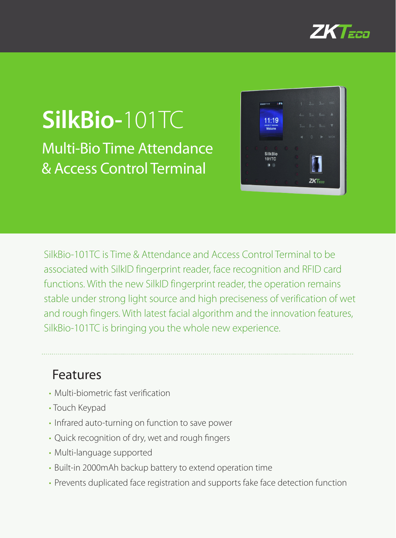

# **SilkBio-**101TC Multi-Bio Time Attendance & Access Control Terminal



SilkBio-101TC is Time & Attendance and Access Control Terminal to be associated with SilkID fingerprint reader, face recognition and RFID card functions. With the new SilkID fingerprint reader, the operation remains stable under strong light source and high preciseness of verification of wet and rough fingers. With latest facial algorithm and the innovation features, SilkBio-101TC is bringing you the whole new experience.

#### Features

- Multi-biometric fast verification
- Touch Keypad
- Infrared auto-turning on function to save power
- Quick recognition of dry, wet and rough fingers
- Multi-language supported
- Built-in 2000mAh backup battery to extend operation time
- Prevents duplicated face registration and supports fake face detection function